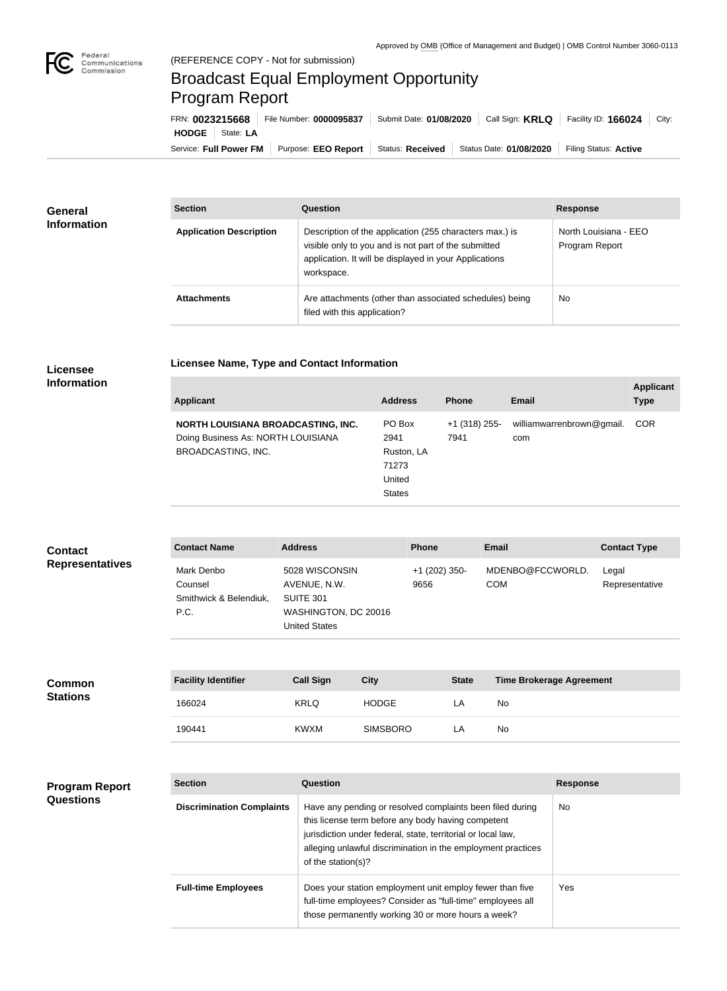

## Broadcast Equal Employment Opportunity Program Report

**Licensee Name, Type and Contact Information**

| FRN: 0023215668        |           | File Number: 0000095837 | Submit Date: 01/08/2020 | Call Sign: <b>KRLQ</b>  | Facility ID: 166024   | City: |
|------------------------|-----------|-------------------------|-------------------------|-------------------------|-----------------------|-------|
| <b>HODGE</b>           | State: LA |                         |                         |                         |                       |       |
| Service: Full Power FM |           | Purpose: EEO Report     | Status: Received        | Status Date: 01/08/2020 | Filing Status: Active |       |

| <b>General</b><br><b>Information</b> | <b>Section</b>                 | Question                                                                                                                                                                                | <b>Response</b>                         |
|--------------------------------------|--------------------------------|-----------------------------------------------------------------------------------------------------------------------------------------------------------------------------------------|-----------------------------------------|
|                                      | <b>Application Description</b> | Description of the application (255 characters max.) is<br>visible only to you and is not part of the submitted<br>application. It will be displayed in your Applications<br>workspace. | North Louisiana - EEO<br>Program Report |
|                                      | <b>Attachments</b>             | Are attachments (other than associated schedules) being<br>filed with this application?                                                                                                 | <b>No</b>                               |

## **Licensee Information**

| <b>Applicant</b>                                                                                      | <b>Address</b>                                                   | <b>Phone</b>            | <b>Email</b>                     | <b>Applicant</b><br><b>Type</b> |
|-------------------------------------------------------------------------------------------------------|------------------------------------------------------------------|-------------------------|----------------------------------|---------------------------------|
| NORTH LOUISIANA BROADCASTING, INC.<br>Doing Business As: NORTH LOUISIANA<br><b>BROADCASTING, INC.</b> | PO Box<br>2941<br>Ruston, LA<br>71273<br>United<br><b>States</b> | $+1$ (318) 255-<br>7941 | williamwarrenbrown@gmail.<br>com | <b>COR</b>                      |

| <b>Contact</b>         | <b>Contact Name</b>                                     | <b>Address</b>                                                                              | <b>Phone</b>          | <b>Email</b>                   | <b>Contact Type</b>     |
|------------------------|---------------------------------------------------------|---------------------------------------------------------------------------------------------|-----------------------|--------------------------------|-------------------------|
| <b>Representatives</b> | Mark Denbo<br>Counsel<br>Smithwick & Belendiuk,<br>P.C. | 5028 WISCONSIN<br>AVENUE, N.W.<br>SUITE 301<br>WASHINGTON, DC 20016<br><b>United States</b> | +1 (202) 350-<br>9656 | MDENBO@FCCWORLD.<br><b>COM</b> | Legal<br>Representative |

| <b>Common</b>   | <b>Facility Identifier</b> | <b>Call Sign</b> | <b>City</b>     | <b>State</b> | <b>Time Brokerage Agreement</b> |
|-----------------|----------------------------|------------------|-----------------|--------------|---------------------------------|
| <b>Stations</b> | 166024                     | <b>KRLQ</b>      | <b>HODGE</b>    | LΑ           | No                              |
|                 | 190441                     | <b>KWXM</b>      | <b>SIMSBORO</b> | LA           | No                              |

| <b>Program Report</b><br><b>Questions</b> | <b>Section</b>                   | <b>Question</b>                                                                                                                                                                                                                                                       | <b>Response</b> |
|-------------------------------------------|----------------------------------|-----------------------------------------------------------------------------------------------------------------------------------------------------------------------------------------------------------------------------------------------------------------------|-----------------|
|                                           | <b>Discrimination Complaints</b> | Have any pending or resolved complaints been filed during<br>this license term before any body having competent<br>jurisdiction under federal, state, territorial or local law,<br>alleging unlawful discrimination in the employment practices<br>of the station(s)? | <b>No</b>       |
|                                           | <b>Full-time Employees</b>       | Does your station employment unit employ fewer than five<br>full-time employees? Consider as "full-time" employees all<br>those permanently working 30 or more hours a week?                                                                                          | Yes.            |